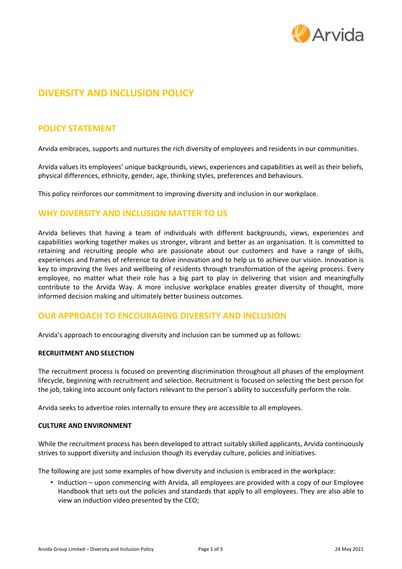

# **DIVERSITY AND INCLUSION POLICY**

# **POLICY STATEMENT**

Arvida embraces, supports and nurtures the rich diversity of employees and residents in our communities.

Arvida values its employees' unique backgrounds, views, experiences and capabilities as well as their beliefs, physical differences, ethnicity, gender, age, thinking styles, preferences and behaviours.

This policy reinforces our commitment to improving diversity and inclusion in our workplace.

# **WHY DIVERSITY AND INCLUSION MATTER TO US**

Arvida believes that having a team of individuals with different backgrounds, views, experiences and capabilities working together makes us stronger, vibrant and better as an organisation. It is committed to retaining and recruiting people who are passionate about our customers and have a range of skills, experiences and frames of reference to drive innovation and to help us to achieve our vision. Innovation is key to improving the lives and wellbeing of residents through transformation of the ageing process. Every employee, no matter what their role has a big part to play in delivering that vision and meaningfully contribute to the Arvida Way. A more inclusive workplace enables greater diversity of thought, more informed decision making and ultimately better business outcomes.

# **OUR APPROACH TO ENCOURAGING DIVERSITY AND INCLUSION**

Arvida's approach to encouraging diversity and inclusion can be summed up as follows:

#### **RECRUITMENT AND SELECTION**

The recruitment process is focused on preventing discrimination throughout all phases of the employment lifecycle, beginning with recruitment and selection. Recruitment is focused on selecting the best person for the job, taking into account only factors relevant to the person's ability to successfully perform the role.

Arvida seeks to advertise roles internally to ensure they are accessible to all employees.

#### **CULTURE AND ENVIRONMENT**

While the recruitment process has been developed to attract suitably skilled applicants, Arvida continuously strives to support diversity and inclusion though its everyday culture, policies and initiatives.

The following are just some examples of how diversity and inclusion is embraced in the workplace:

• Induction – upon commencing with Arvida, all employees are provided with a copy of our Employee Handbook that sets out the policies and standards that apply to all employees. They are also able to view an induction video presented by the CEO;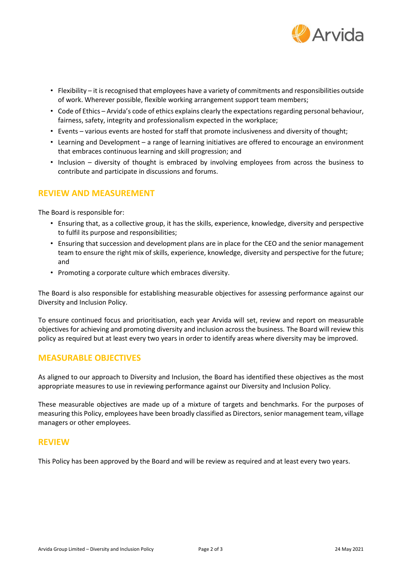

- Flexibility it is recognised that employees have a variety of commitments and responsibilities outside of work. Wherever possible, flexible working arrangement support team members;
- Code of Ethics Arvida's code of ethics explains clearly the expectations regarding personal behaviour, fairness, safety, integrity and professionalism expected in the workplace;
- Events various events are hosted for staff that promote inclusiveness and diversity of thought;
- Learning and Development a range of learning initiatives are offered to encourage an environment that embraces continuous learning and skill progression; and
- Inclusion diversity of thought is embraced by involving employees from across the business to contribute and participate in discussions and forums.

# **REVIEW AND MEASUREMENT**

The Board is responsible for:

- Ensuring that, as a collective group, it has the skills, experience, knowledge, diversity and perspective to fulfil its purpose and responsibilities;
- Ensuring that succession and development plans are in place for the CEO and the senior management team to ensure the right mix of skills, experience, knowledge, diversity and perspective for the future; and
- Promoting a corporate culture which embraces diversity.

The Board is also responsible for establishing measurable objectives for assessing performance against our Diversity and Inclusion Policy.

To ensure continued focus and prioritisation, each year Arvida will set, review and report on measurable objectives for achieving and promoting diversity and inclusion across the business. The Board will review this policy as required but at least every two years in order to identify areas where diversity may be improved.

### **MEASURABLE OBJECTIVES**

As aligned to our approach to Diversity and Inclusion, the Board has identified these objectives as the most appropriate measures to use in reviewing performance against our Diversity and Inclusion Policy.

These measurable objectives are made up of a mixture of targets and benchmarks. For the purposes of measuring this Policy, employees have been broadly classified as Directors, senior management team, village managers or other employees.

#### **REVIEW**

This Policy has been approved by the Board and will be review as required and at least every two years.